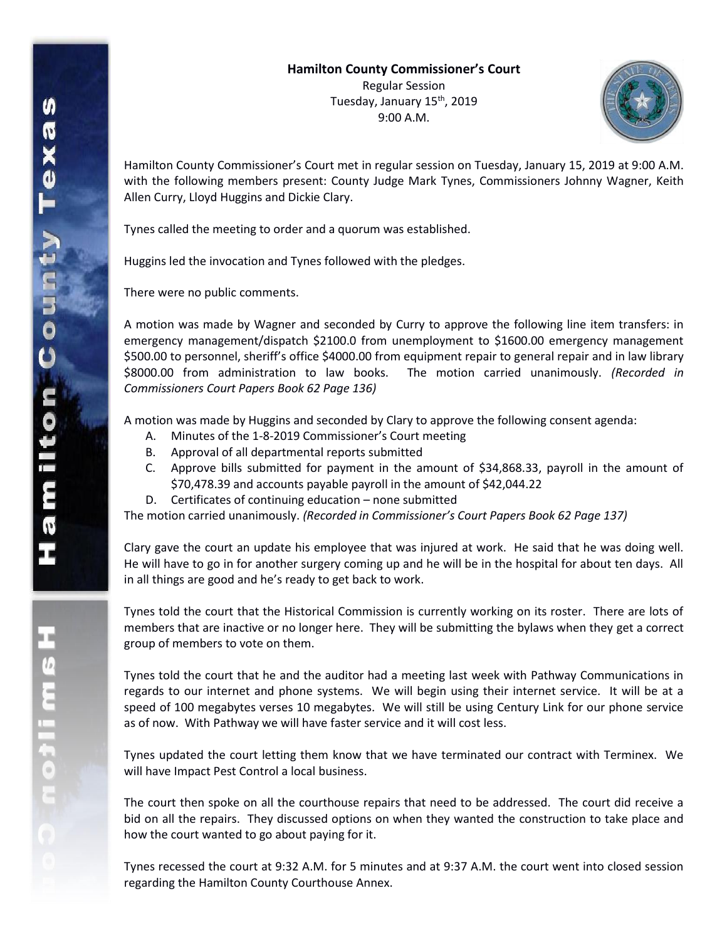

Hamilton County Commissioner's Court met in regular session on Tuesday, January 15, 2019 at 9:00 A.M. with the following members present: County Judge Mark Tynes, Commissioners Johnny Wagner, Keith Allen Curry, Lloyd Huggins and Dickie Clary.

Tynes called the meeting to order and a quorum was established.

Huggins led the invocation and Tynes followed with the pledges.

There were no public comments.

A motion was made by Wagner and seconded by Curry to approve the following line item transfers: in emergency management/dispatch \$2100.0 from unemployment to \$1600.00 emergency management \$500.00 to personnel, sheriff's office \$4000.00 from equipment repair to general repair and in law library \$8000.00 from administration to law books. The motion carried unanimously. *(Recorded in Commissioners Court Papers Book 62 Page 136)*

A motion was made by Huggins and seconded by Clary to approve the following consent agenda:

- A. Minutes of the 1-8-2019 Commissioner's Court meeting
- B. Approval of all departmental reports submitted
- C. Approve bills submitted for payment in the amount of \$34,868.33, payroll in the amount of \$70,478.39 and accounts payable payroll in the amount of \$42,044.22
- D. Certificates of continuing education none submitted

The motion carried unanimously. *(Recorded in Commissioner's Court Papers Book 62 Page 137)*

Clary gave the court an update his employee that was injured at work. He said that he was doing well. He will have to go in for another surgery coming up and he will be in the hospital for about ten days. All in all things are good and he's ready to get back to work.

Tynes told the court that the Historical Commission is currently working on its roster. There are lots of members that are inactive or no longer here. They will be submitting the bylaws when they get a correct group of members to vote on them.

Tynes told the court that he and the auditor had a meeting last week with Pathway Communications in regards to our internet and phone systems. We will begin using their internet service. It will be at a speed of 100 megabytes verses 10 megabytes. We will still be using Century Link for our phone service as of now. With Pathway we will have faster service and it will cost less.

Tynes updated the court letting them know that we have terminated our contract with Terminex. We will have Impact Pest Control a local business.

The court then spoke on all the courthouse repairs that need to be addressed. The court did receive a bid on all the repairs. They discussed options on when they wanted the construction to take place and how the court wanted to go about paying for it.

Tynes recessed the court at 9:32 A.M. for 5 minutes and at 9:37 A.M. the court went into closed session regarding the Hamilton County Courthouse Annex.

エムミニャクこ